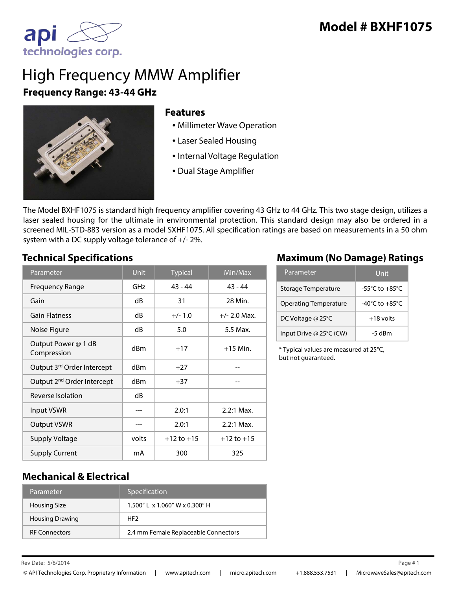

# High Frequency MMW Amplifier **Frequency Range: 43-44 GHz**



#### **Features**

- Millimeter Wave Operation
- Laser Sealed Housing
- Internal Voltage Regulation
- Dual Stage Amplifier

The Model BXHF1075 is standard high frequency amplifier covering 43 GHz to 44 GHz. This two stage design, utilizes a laser sealed housing for the ultimate in environmental protection. This standard design may also be ordered in a screened MIL-STD-883 version as a model SXHF1075. All specification ratings are based on measurements in a 50 ohm system with a DC supply voltage tolerance of +/- 2%.

| Parameter                              | <b>Unit</b> | <b>Typical</b> | Min/Max        |
|----------------------------------------|-------------|----------------|----------------|
| <b>Frequency Range</b>                 | GHz         | $43 - 44$      | $43 - 44$      |
| Gain                                   | dB          | 31             | 28 Min.        |
| <b>Gain Flatness</b>                   | dB          | $+/- 1.0$      | $+/- 2.0$ Max. |
| Noise Figure                           | dB          | 5.0            | 5.5 Max.       |
| Output Power @ 1 dB<br>Compression     | dBm         | $+17$          | $+15$ Min.     |
| Output 3rd Order Intercept             | dBm         | $+27$          |                |
| Output 2 <sup>nd</sup> Order Intercept | dBm         | $+37$          |                |
| Reverse Isolation                      | dB          |                |                |
| Input VSWR                             |             | 2.0:1          | $2.2:1$ Max.   |
| <b>Output VSWR</b>                     |             | 2.0:1          | $2.2:1$ Max.   |
| <b>Supply Voltage</b>                  | volts       | $+12$ to $+15$ | $+12$ to $+15$ |
| <b>Supply Current</b>                  | mA          | 300            | 325            |

#### **Technical Specifications Maximum (No Damage) Ratings**

| Parameter                    | Unit                                 |
|------------------------------|--------------------------------------|
| Storage Temperature          | -55°C to $+85^{\circ}$ C             |
| <b>Operating Temperature</b> | -40 $^{\circ}$ C to +85 $^{\circ}$ C |
| DC Voltage @ 25°C            | $+18$ volts                          |
| Input Drive @ 25°C (CW)      | $-5$ dBm                             |

\* Typical values are measured at 25°C, but not guaranteed.

#### **Mechanical & Electrical**

| Parameter              | Specification                        |
|------------------------|--------------------------------------|
| <b>Housing Size</b>    | $1.500''$ L x $1.060''$ W x 0.300" H |
| <b>Housing Drawing</b> | HF <sub>2</sub>                      |
| <b>RF Connectors</b>   | 2.4 mm Female Replaceable Connectors |

Rev Date: Page # 5/6/2014 1